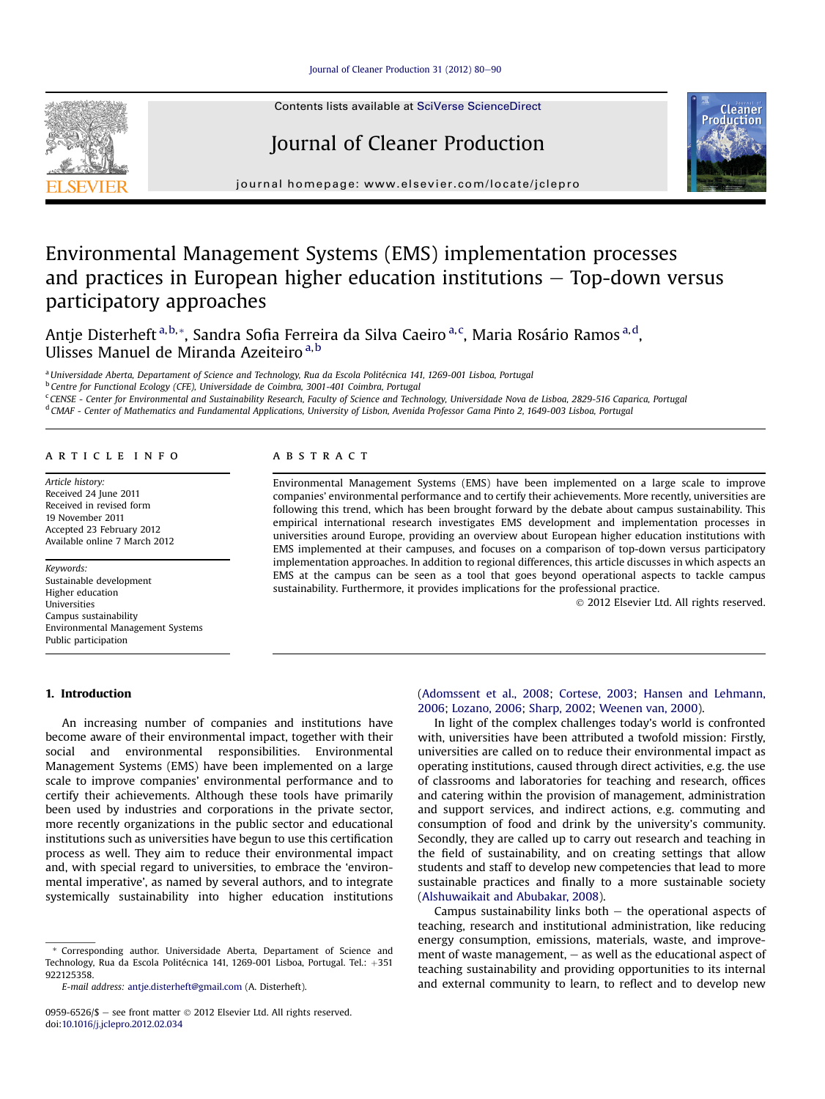

Contents lists available at SciVerse ScienceDirect

# Journal of Cleaner Production



journal homepage: [www.elsevier.com/locate/jclepro](http://www.elsevier.com/locate/jclepro)

# Environmental Management Systems (EMS) implementation processes and practices in European higher education institutions  $-$  Top-down versus participatory approaches

Antje Disterheft<sup>a,b,</sup>\*, Sandra Sofia Ferreira da Silva Caeiro<sup>a,c</sup>, Maria Rosário Ramos<sup>a,d</sup>, Ulisses Manuel de Miranda Azeiteiro<sup>a,b</sup>

<sup>a</sup> Universidade Aberta, Departament of Science and Technology, Rua da Escola Politécnica 141, 1269-001 Lisboa, Portugal

<sup>b</sup> Centre for Functional Ecology (CFE), Universidade de Coimbra, 3001-401 Coimbra, Portugal

<sup>c</sup> CENSE - Center for Environmental and Sustainability Research, Faculty of Science and Technology, Universidade Nova de Lisboa, 2829-516 Caparica, Portugal

<sup>d</sup> CMAF - Center of Mathematics and Fundamental Applications, University of Lisbon, Avenida Professor Gama Pinto 2, 1649-003 Lisboa, Portugal

#### article info

Article history: Received 24 June 2011 Received in revised form 19 November 2011 Accepted 23 February 2012 Available online 7 March 2012

Keywords: Sustainable development Higher education Universities Campus sustainability Environmental Management Systems Public participation

## 1. Introduction

# **ABSTRACT**

Environmental Management Systems (EMS) have been implemented on a large scale to improve companies' environmental performance and to certify their achievements. More recently, universities are following this trend, which has been brought forward by the debate about campus sustainability. This empirical international research investigates EMS development and implementation processes in universities around Europe, providing an overview about European higher education institutions with EMS implemented at their campuses, and focuses on a comparison of top-down versus participatory implementation approaches. In addition to regional differences, this article discusses in which aspects an EMS at the campus can be seen as a tool that goes beyond operational aspects to tackle campus sustainability. Furthermore, it provides implications for the professional practice.

2012 Elsevier Ltd. All rights reserved.

An increasing number of companies and institutions have become aware of their environmental impact, together with their social and environmental responsibilities. Environmental Management Systems (EMS) have been implemented on a large scale to improve companies' environmental performance and to certify their achievements. Although these tools have primarily been used by industries and corporations in the private sector, more recently organizations in the public sector and educational institutions such as universities have begun to use this certification process as well. They aim to reduce their environmental impact and, with special regard to universities, to embrace the 'environmental imperative', as named by several authors, and to integrate systemically sustainability into higher education institutions

# ([Adomssent et al., 2008;](#page--1-0) [Cortese, 2003;](#page--1-0) [Hansen and Lehmann,](#page--1-0) [2006](#page--1-0); [Lozano, 2006;](#page--1-0) [Sharp, 2002;](#page--1-0) [Weenen van, 2000\)](#page--1-0).

In light of the complex challenges today's world is confronted with, universities have been attributed a twofold mission: Firstly, universities are called on to reduce their environmental impact as operating institutions, caused through direct activities, e.g. the use of classrooms and laboratories for teaching and research, offices and catering within the provision of management, administration and support services, and indirect actions, e.g. commuting and consumption of food and drink by the university's community. Secondly, they are called up to carry out research and teaching in the field of sustainability, and on creating settings that allow students and staff to develop new competencies that lead to more sustainable practices and finally to a more sustainable society ([Alshuwaikait and Abubakar, 2008](#page--1-0)).

Campus sustainability links both  $-$  the operational aspects of teaching, research and institutional administration, like reducing energy consumption, emissions, materials, waste, and improvement of waste management,  $-$  as well as the educational aspect of teaching sustainability and providing opportunities to its internal and external community to learn, to reflect and to develop new

<sup>\*</sup> Corresponding author. Universidade Aberta, Departament of Science and Technology, Rua da Escola Politécnica 141, 1269-001 Lisboa, Portugal. Tel.: +351 922125358.

E-mail address: [antje.disterheft@gmail.com](mailto:antje.disterheft@gmail.com) (A. Disterheft).

<sup>0959-6526/\$ -</sup> see front matter  $\odot$  2012 Elsevier Ltd. All rights reserved. doi:[10.1016/j.jclepro.2012.02.034](http://dx.doi.org/10.1016/j.jclepro.2012.02.034)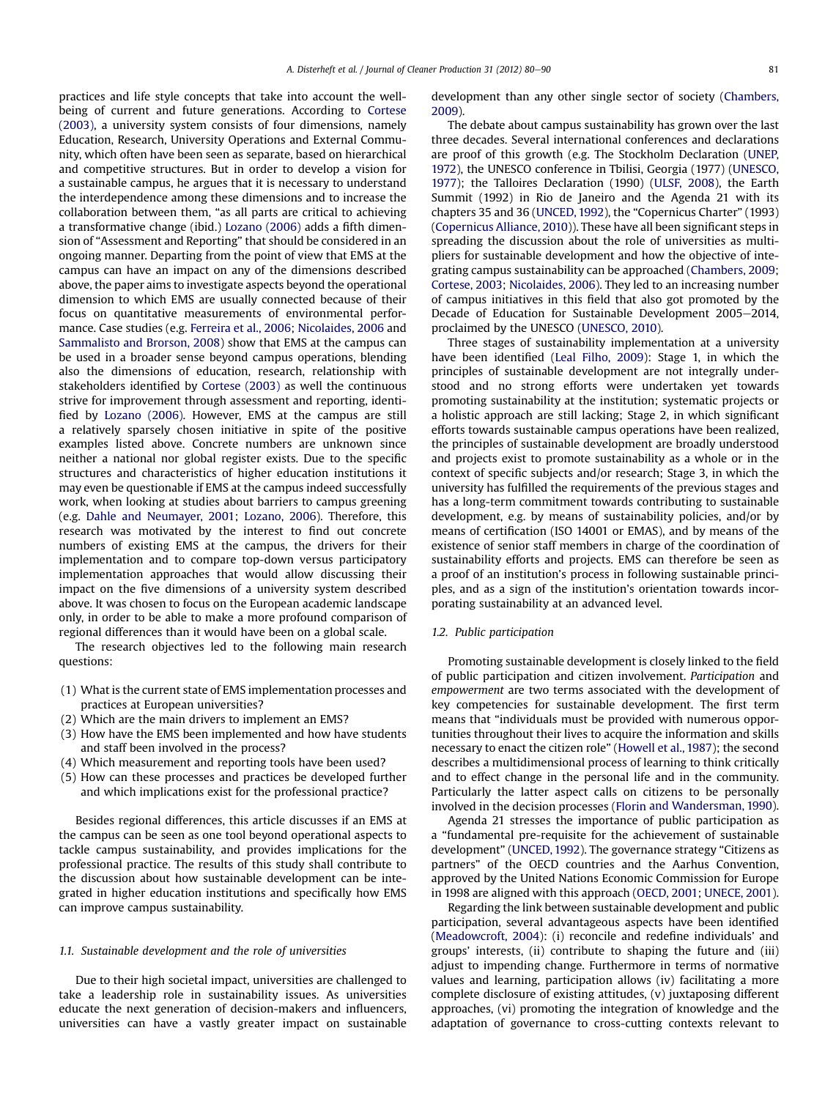practices and life style concepts that take into account the wellbeing of current and future generations. According to [Cortese](#page--1-0) [\(2003\),](#page--1-0) a university system consists of four dimensions, namely Education, Research, University Operations and External Community, which often have been seen as separate, based on hierarchical and competitive structures. But in order to develop a vision for a sustainable campus, he argues that it is necessary to understand the interdependence among these dimensions and to increase the collaboration between them, "as all parts are critical to achieving a transformative change (ibid.) [Lozano \(2006\)](#page--1-0) adds a fifth dimension of "Assessment and Reporting" that should be considered in an ongoing manner. Departing from the point of view that EMS at the campus can have an impact on any of the dimensions described above, the paper aims to investigate aspects beyond the operational dimension to which EMS are usually connected because of their focus on quantitative measurements of environmental performance. Case studies (e.g. [Ferreira et al., 2006](#page--1-0); [Nicolaides, 2006](#page--1-0) and [Sammalisto and Brorson, 2008\)](#page--1-0) show that EMS at the campus can be used in a broader sense beyond campus operations, blending also the dimensions of education, research, relationship with stakeholders identified by [Cortese \(2003\)](#page--1-0) as well the continuous strive for improvement through assessment and reporting, identified by [Lozano \(2006\)](#page--1-0). However, EMS at the campus are still a relatively sparsely chosen initiative in spite of the positive examples listed above. Concrete numbers are unknown since neither a national nor global register exists. Due to the specific structures and characteristics of higher education institutions it may even be questionable if EMS at the campus indeed successfully work, when looking at studies about barriers to campus greening (e.g. [Dahle and Neumayer, 2001;](#page--1-0) [Lozano, 2006](#page--1-0)). Therefore, this research was motivated by the interest to find out concrete numbers of existing EMS at the campus, the drivers for their implementation and to compare top-down versus participatory implementation approaches that would allow discussing their impact on the five dimensions of a university system described above. It was chosen to focus on the European academic landscape only, in order to be able to make a more profound comparison of regional differences than it would have been on a global scale.

The research objectives led to the following main research questions:

- (1) What is the current state of EMS implementation processes and practices at European universities?
- (2) Which are the main drivers to implement an EMS?
- (3) How have the EMS been implemented and how have students and staff been involved in the process?
- (4) Which measurement and reporting tools have been used?
- (5) How can these processes and practices be developed further and which implications exist for the professional practice?

Besides regional differences, this article discusses if an EMS at the campus can be seen as one tool beyond operational aspects to tackle campus sustainability, and provides implications for the professional practice. The results of this study shall contribute to the discussion about how sustainable development can be integrated in higher education institutions and specifically how EMS can improve campus sustainability.

### 1.1. Sustainable development and the role of universities

Due to their high societal impact, universities are challenged to take a leadership role in sustainability issues. As universities educate the next generation of decision-makers and influencers, universities can have a vastly greater impact on sustainable development than any other single sector of society ([Chambers,](#page--1-0) [2009\)](#page--1-0).

The debate about campus sustainability has grown over the last three decades. Several international conferences and declarations are proof of this growth (e.g. The Stockholm Declaration [\(UNEP,](#page--1-0) [1972\)](#page--1-0), the UNESCO conference in Tbilisi, Georgia (1977) [\(UNESCO,](#page--1-0) [1977\)](#page--1-0); the Talloires Declaration (1990) [\(ULSF, 2008](#page--1-0)), the Earth Summit (1992) in Rio de Janeiro and the Agenda 21 with its chapters 35 and 36 [\(UNCED, 1992](#page--1-0)), the "Copernicus Charter" (1993) ([Copernicus Alliance, 2010](#page--1-0))). These have all been significant steps in spreading the discussion about the role of universities as multipliers for sustainable development and how the objective of integrating campus sustainability can be approached ([Chambers, 2009;](#page--1-0) [Cortese, 2003;](#page--1-0) [Nicolaides, 2006\)](#page--1-0). They led to an increasing number of campus initiatives in this field that also got promoted by the Decade of Education for Sustainable Development 2005-2014, proclaimed by the UNESCO [\(UNESCO, 2010](#page--1-0)).

Three stages of sustainability implementation at a university have been identified ([Leal Filho, 2009\)](#page--1-0): Stage 1, in which the principles of sustainable development are not integrally understood and no strong efforts were undertaken yet towards promoting sustainability at the institution; systematic projects or a holistic approach are still lacking; Stage 2, in which significant efforts towards sustainable campus operations have been realized, the principles of sustainable development are broadly understood and projects exist to promote sustainability as a whole or in the context of specific subjects and/or research; Stage 3, in which the university has fulfilled the requirements of the previous stages and has a long-term commitment towards contributing to sustainable development, e.g. by means of sustainability policies, and/or by means of certification (ISO 14001 or EMAS), and by means of the existence of senior staff members in charge of the coordination of sustainability efforts and projects. EMS can therefore be seen as a proof of an institution's process in following sustainable principles, and as a sign of the institution's orientation towards incorporating sustainability at an advanced level.

#### 1.2. Public participation

Promoting sustainable development is closely linked to the field of public participation and citizen involvement. Participation and empowerment are two terms associated with the development of key competencies for sustainable development. The first term means that "individuals must be provided with numerous opportunities throughout their lives to acquire the information and skills necessary to enact the citizen role" [\(Howell et al., 1987](#page--1-0)); the second describes a multidimensional process of learning to think critically and to effect change in the personal life and in the community. Particularly the latter aspect calls on citizens to be personally involved in the decision processes (Florin [and Wandersman, 1990\)](#page--1-0).

Agenda 21 stresses the importance of public participation as a "fundamental pre-requisite for the achievement of sustainable development" ([UNCED, 1992\)](#page--1-0). The governance strategy "Citizens as partners" of the OECD countries and the Aarhus Convention, approved by the United Nations Economic Commission for Europe in 1998 are aligned with this approach ([OECD, 2001;](#page--1-0) [UNECE, 2001\)](#page--1-0).

Regarding the link between sustainable development and public participation, several advantageous aspects have been identified ([Meadowcroft, 2004\)](#page--1-0): (i) reconcile and redefine individuals' and groups' interests, (ii) contribute to shaping the future and (iii) adjust to impending change. Furthermore in terms of normative values and learning, participation allows (iv) facilitating a more complete disclosure of existing attitudes, (v) juxtaposing different approaches, (vi) promoting the integration of knowledge and the adaptation of governance to cross-cutting contexts relevant to